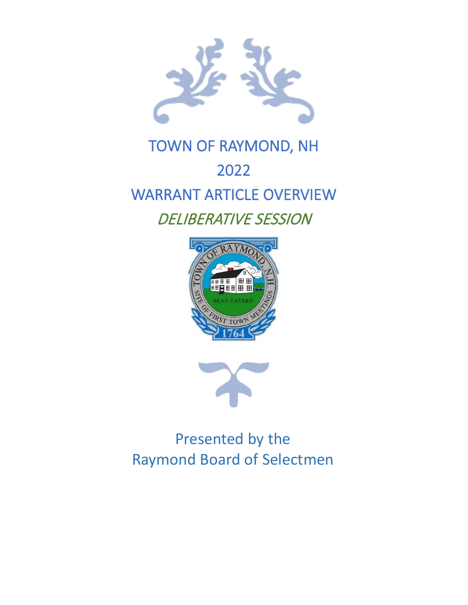

# TOWN OF RAYMOND, NH 2022 WARRANT ARTICLE OVERVIEW DELIBERATIVE SESSION





Presented by the Raymond Board of Selectmen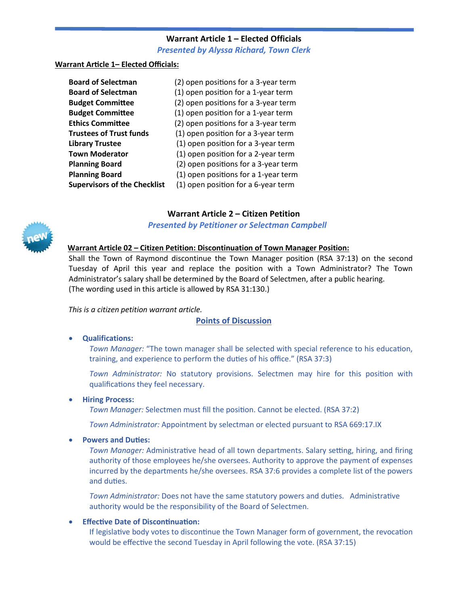## **Warrant Article 1 – Elected Officials**

*Presented by Alyssa Richard, Town Clerk*

#### **Warrant Ar�cle 1– Elected Officials:**

| <b>Board of Selectman</b>           | (2) open positions for a 3-year term |
|-------------------------------------|--------------------------------------|
| <b>Board of Selectman</b>           | (1) open position for a 1-year term  |
| <b>Budget Committee</b>             | (2) open positions for a 3-year term |
| <b>Budget Committee</b>             | (1) open position for a 1-year term  |
| <b>Ethics Committee</b>             | (2) open positions for a 3-year term |
| <b>Trustees of Trust funds</b>      | (1) open position for a 3-year term  |
| <b>Library Trustee</b>              | (1) open position for a 3-year term  |
| <b>Town Moderator</b>               | (1) open position for a 2-year term  |
| <b>Planning Board</b>               | (2) open positions for a 3-year term |
| <b>Planning Board</b>               | (1) open positions for a 1-year term |
| <b>Supervisors of the Checklist</b> | (1) open position for a 6-year term  |

## **Warrant Article 2 – Citizen Petition**





# **Warrant Article 02 – Citizen Petition: Discontinuation of Town Manager Position:**

Shall the Town of Raymond discontinue the Town Manager position (RSA 37:13) on the second Tuesday of April this year and replace the position with a Town Administrator? The Town Administrator's salary shall be determined by the Board of Selectmen, after a public hearing. (The wording used in this article is allowed by RSA 31:130.)

#### *This is a citizen petition warrant article.*

#### **Points of Discussion**

#### • **Qualifications:**

Town Manager: "The town manager shall be selected with special reference to his education, training, and experience to perform the du�es of his office." (RSA 37:3)

Town Administrator: No statutory provisions. Selectmen may hire for this position with qualifications they feel necessary.

#### • **Hiring Process:**

*Town Manager:* Selectmen must fill the posi�on. Cannot be elected. (RSA 37:2)

*Town Administrator:* Appointment by selectman or elected pursuant to RSA 669:17.IX

#### **Powers and Duties:**

*Town Manager:* Administrative head of all town departments. Salary setting, hiring, and firing authority of those employees he/she oversees. Authority to approve the payment of expenses incurred by the departments he/she oversees. RSA 37:6 provides a complete list of the powers and du�es.

*Town Administrator:* Does not have the same statutory powers and duties. Administrative authority would be the responsibility of the Board of Selectmen.

#### **• Effective Date of Discontinuation:**

If legislative body votes to discontinue the Town Manager form of government, the revocation would be effective the second Tuesday in April following the vote. (RSA 37:15)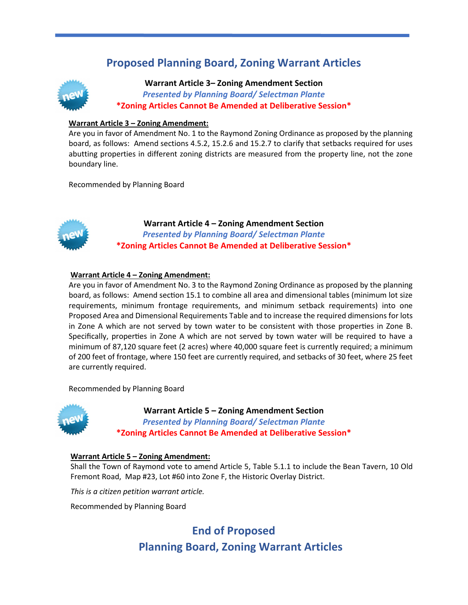# **Proposed Planning Board, Zoning Warrant Articles**



**Warrant Article 3– Zoning Amendment Section**  *Presented by Planning Board/ Selectman Plante* **\*Zoning Articles Cannot Be Amended at Deliberative Session\***

#### **Warrant Article 3 – Zoning Amendment:**

Are you in favor of Amendment No. 1 to the Raymond Zoning Ordinance as proposed by the planning board, as follows: Amend sections 4.5.2, 15.2.6 and 15.2.7 to clarify that setbacks required for uses abutting properties in different zoning districts are measured from the property line, not the zone boundary line.

Recommended by Planning Board



**Warrant Article 4 – Zoning Amendment Section**  *Presented by Planning Board/ Selectman Plante* **\*Zoning Articles Cannot Be Amended at Deliberative Session\***

#### **Warrant Article 4 – Zoning Amendment:**

Are you in favor of Amendment No. 3 to the Raymond Zoning Ordinance as proposed by the planning board, as follows: Amend section 15.1 to combine all area and dimensional tables (minimum lot size requirements, minimum frontage requirements, and minimum setback requirements) into one Proposed Area and Dimensional Requirements Table and to increase the required dimensions for lots in Zone A which are not served by town water to be consistent with those proper�es in Zone B. Specifically, properties in Zone A which are not served by town water will be required to have a minimum of 87,120 square feet (2 acres) where 40,000 square feet is currently required; a minimum of 200 feet of frontage, where 150 feet are currently required, and setbacks of 30 feet, where 25 feet are currently required.

Recommended by Planning Board



**Warrant Article 5 – Zoning Amendment Section**  *Presented by Planning Board/ Selectman Plante* **\*Zoning Articles Cannot Be Amended at Deliberative Session\***

#### **Warrant Article 5 – Zoning Amendment:**

Shall the Town of Raymond vote to amend Article 5, Table 5.1.1 to include the Bean Tavern, 10 Old Fremont Road, Map #23, Lot #60 into Zone F, the Historic Overlay District.

*This is a citizen petition warrant article.*

Recommended by Planning Board

# **End of Proposed Planning Board, Zoning Warrant Articles**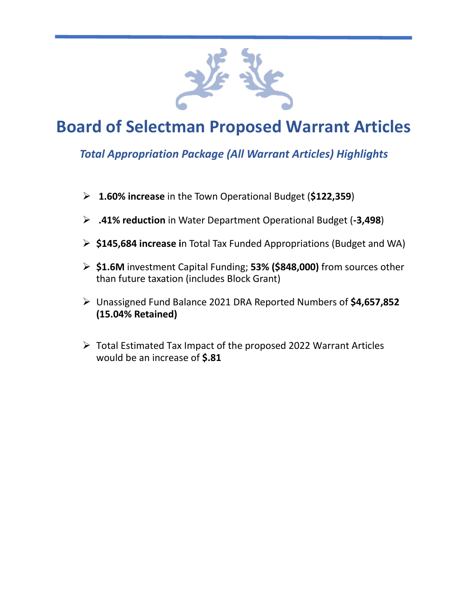

# **Board of Selectman Proposed Warrant Articles**

# *Total Appropriation Package (All Warrant Articles) Highlights*

- **1.60% increase** in the Town Operational Budget (**\$122,359**)
- **.41% reduction** in Water Department Operational Budget (**-3,498**)
- **\$145,684 increase i**n Total Tax Funded Appropriations (Budget and WA)
- **\$1.6M** investment Capital Funding; **53% (\$848,000)** from sources other than future taxation (includes Block Grant)
- Unassigned Fund Balance 2021 DRA Reported Numbers of **\$4,657,852 (15.04% Retained)**
- $\triangleright$  Total Estimated Tax Impact of the proposed 2022 Warrant Articles would be an increase of **\$.81**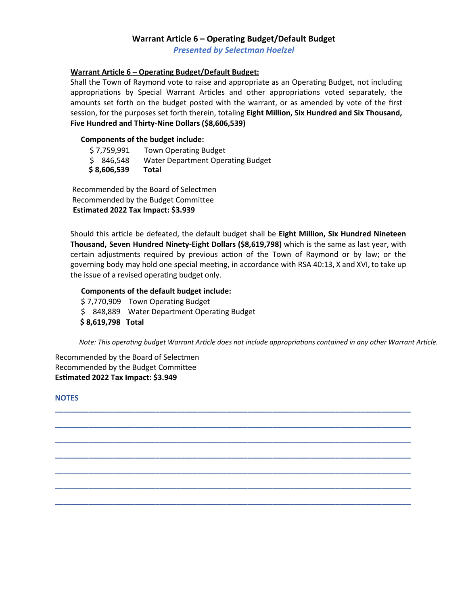#### **Warrant Article 6 – Operating Budget/Default Budget**

*Presented by Selectman Hoelzel*

#### **Warrant Article 6 – Operating Budget/Default Budget:**

Shall the Town of Raymond vote to raise and appropriate as an Operating Budget, not including appropriations by Special Warrant Articles and other appropriations voted separately, the amounts set forth on the budget posted with the warrant, or as amended by vote of the first session, for the purposes set forth therein, totaling **Eight Million, Six Hundred and Six Thousand, Five Hundred and Thirty-Nine Dollars (\$8,606,539)**

#### **Components of the budget include:**

| \$8,606,539 | Total                             |
|-------------|-----------------------------------|
| \$ 846.548  | Water Department Operating Budget |
| \$7,759,991 | <b>Town Operating Budget</b>      |

Recommended by the Board of Selectmen Recommended by the Budget Committee **Estimated 2022 Tax Impact: \$3.939**

Should this ar�cle be defeated, the default budget shall be **Eight Million, Six Hundred Nineteen Thousand, Seven Hundred Ninety-Eight Dollars (\$8,619,798)** which is the same as last year, with certain adjustments required by previous action of the Town of Raymond or by law; or the governing body may hold one special meeting, in accordance with RSA 40:13, X and XVI, to take up the issue of a revised operating budget only.

**\_\_\_\_\_\_\_\_\_\_\_\_\_\_\_\_\_\_\_\_\_\_\_\_\_\_\_\_\_\_\_\_\_\_\_\_\_\_\_\_\_\_\_\_\_\_\_\_\_\_\_\_\_\_\_\_\_\_\_\_\_\_\_\_\_\_\_\_\_\_\_\_\_\_\_\_\_\_\_\_\_\_\_\_\_**

**\_\_\_\_\_\_\_\_\_\_\_\_\_\_\_\_\_\_\_\_\_\_\_\_\_\_\_\_\_\_\_\_\_\_\_\_\_\_\_\_\_\_\_\_\_\_\_\_\_\_\_\_\_\_\_\_\_\_\_\_\_\_\_\_\_\_\_\_\_\_\_\_\_\_\_\_\_\_\_\_\_\_\_\_\_**

**\_\_\_\_\_\_\_\_\_\_\_\_\_\_\_\_\_\_\_\_\_\_\_\_\_\_\_\_\_\_\_\_\_\_\_\_\_\_\_\_\_\_\_\_\_\_\_\_\_\_\_\_\_\_\_\_\_\_\_\_\_\_\_\_\_\_\_\_\_\_\_\_\_\_\_\_\_\_\_\_\_\_\_\_\_**

**\_\_\_\_\_\_\_\_\_\_\_\_\_\_\_\_\_\_\_\_\_\_\_\_\_\_\_\_\_\_\_\_\_\_\_\_\_\_\_\_\_\_\_\_\_\_\_\_\_\_\_\_\_\_\_\_\_\_\_\_\_\_\_\_\_\_\_\_\_\_\_\_\_\_\_\_\_\_\_\_\_\_\_\_\_**

**\_\_\_\_\_\_\_\_\_\_\_\_\_\_\_\_\_\_\_\_\_\_\_\_\_\_\_\_\_\_\_\_\_\_\_\_\_\_\_\_\_\_\_\_\_\_\_\_\_\_\_\_\_\_\_\_\_\_\_\_\_\_\_\_\_\_\_\_\_\_\_\_\_\_\_\_\_\_\_\_\_\_\_\_\_**

**\_\_\_\_\_\_\_\_\_\_\_\_\_\_\_\_\_\_\_\_\_\_\_\_\_\_\_\_\_\_\_\_\_\_\_\_\_\_\_\_\_\_\_\_\_\_\_\_\_\_\_\_\_\_\_\_\_\_\_\_\_\_\_\_\_\_\_\_\_\_\_\_\_\_\_\_\_\_\_\_\_\_\_\_\_**

**\_\_\_\_\_\_\_\_\_\_\_\_\_\_\_\_\_\_\_\_\_\_\_\_\_\_\_\_\_\_\_\_\_\_\_\_\_\_\_\_\_\_\_\_\_\_\_\_\_\_\_\_\_\_\_\_\_\_\_\_\_\_\_\_\_\_\_\_\_\_\_\_\_\_\_\_\_\_\_\_\_\_\_\_\_**

#### **Components of the default budget include:**

\$ 7,770,909 Town Operating Budget \$ 848,889 Water Department Operating Budget **\$ 8,619,798 Total**

*Note: This operating budget Warrant Article does not include appropriations contained in any other Warrant Article.*

Recommended by the Board of Selectmen Recommended by the Budget Commitee **Es�mated 2022 Tax Impact: \$3.949**

**NOTES**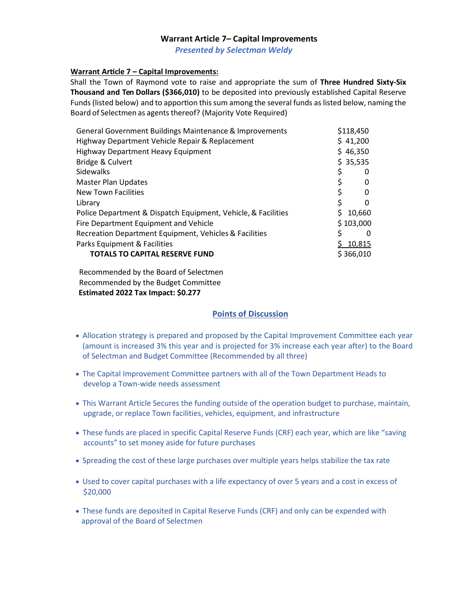## **Warrant Article 7– Capital Improvements**

*Presented by Selectman Weldy* 

#### **Warrant Article 7 – Capital Improvements:**

Shall the Town of Raymond vote to raise and appropriate the sum of **Three Hundred Sixty-Six Thousand and Ten Dollars (\$366,010)** to be deposited into previously established Capital Reserve Funds (listed below) and to apportion this sum among the several funds as listed below, naming the Board of Selectmen as agents thereof? (Majority Vote Required)

| General Government Buildings Maintenance & Improvements       | \$118,450          |
|---------------------------------------------------------------|--------------------|
| Highway Department Vehicle Repair & Replacement               | \$41,200           |
| <b>Highway Department Heavy Equipment</b>                     | \$46,350           |
| Bridge & Culvert                                              | \$35,535           |
| <b>Sidewalks</b>                                              | 0                  |
| <b>Master Plan Updates</b>                                    | \$<br>0            |
| <b>New Town Facilities</b>                                    | \$<br>0            |
| Library                                                       | \$<br><sup>0</sup> |
| Police Department & Dispatch Equipment, Vehicle, & Facilities | 10,660<br>\$       |
| Fire Department Equipment and Vehicle                         | \$103,000          |
| Recreation Department Equipment, Vehicles & Facilities        | ς<br>0             |
| Parks Equipment & Facilities                                  | 10,815             |
| <b>TOTALS TO CAPITAL RESERVE FUND</b>                         | \$366,010          |

Recommended by the Board of Selectmen Recommended by the Budget Committee  **Estimated 2022 Tax Impact: \$0.277**

- Allocation strategy is prepared and proposed by the Capital Improvement Committee each year (amount is increased 3% this year and is projected for 3% increase each year after) to the Board of Selectman and Budget Committee (Recommended by all three)
- The Capital Improvement Committee partners with all of the Town Department Heads to develop a Town-wide needs assessment
- This Warrant Article Secures the funding outside of the operation budget to purchase, maintain, upgrade, or replace Town facilities, vehicles, equipment, and infrastructure
- These funds are placed in specific Capital Reserve Funds (CRF) each year, which are like "saving accounts" to set money aside for future purchases
- Spreading the cost of these large purchases over multiple years helps stabilize the tax rate
- Used to cover capital purchases with a life expectancy of over 5 years and a cost in excess of \$20,000
- These funds are deposited in Capital Reserve Funds (CRF) and only can be expended with approval of the Board of Selectmen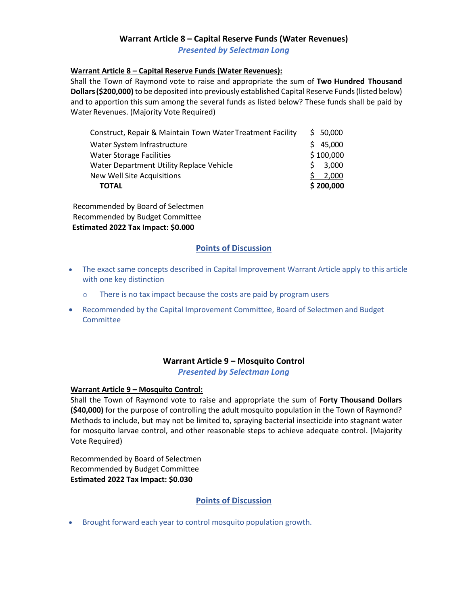# **Warrant Article 8 – Capital Reserve Funds (Water Revenues)** *Presented by Selectman Long*

#### **Warrant Article 8 – Capital Reserve Funds (Water Revenues):**

Shall the Town of Raymond vote to raise and appropriate the sum of **Two Hundred Thousand Dollars(\$200,000)** to be deposited into previously established Capital Reserve Funds(listed below) and to apportion this sum among the several funds as listed below? These funds shall be paid by Water Revenues. (Majority Vote Required)

| <b>TOTAL</b>                                               | \$200,000   |
|------------------------------------------------------------|-------------|
| <b>New Well Site Acquisitions</b>                          | 2,000       |
| Water Department Utility Replace Vehicle                   | 3,000<br>S. |
| <b>Water Storage Facilities</b>                            | \$100,000   |
| Water System Infrastructure                                | \$45,000    |
| Construct, Repair & Maintain Town Water Treatment Facility | \$50,000    |

Recommended by Board of Selectmen Recommended by Budget Committee **Estimated 2022 Tax Impact: \$0.000**

#### **Points of Discussion**

- The exact same concepts described in Capital Improvement Warrant Article apply to this article with one key distinction
	- o There is no tax impact because the costs are paid by program users
- Recommended by the Capital Improvement Committee, Board of Selectmen and Budget Committee

# **Warrant Article 9 – Mosquito Control**

*Presented by Selectman Long*

#### **Warrant Article 9 – Mosquito Control:**

Shall the Town of Raymond vote to raise and appropriate the sum of **Forty Thousand Dollars (\$40,000)** for the purpose of controlling the adult mosquito population in the Town of Raymond? Methods to include, but may not be limited to, spraying bacterial insecticide into stagnant water for mosquito larvae control, and other reasonable steps to achieve adequate control. (Majority Vote Required)

Recommended by Board of Selectmen Recommended by Budget Committee **Estimated 2022 Tax Impact: \$0.030**

#### **Points of Discussion**

• Brought forward each year to control mosquito population growth.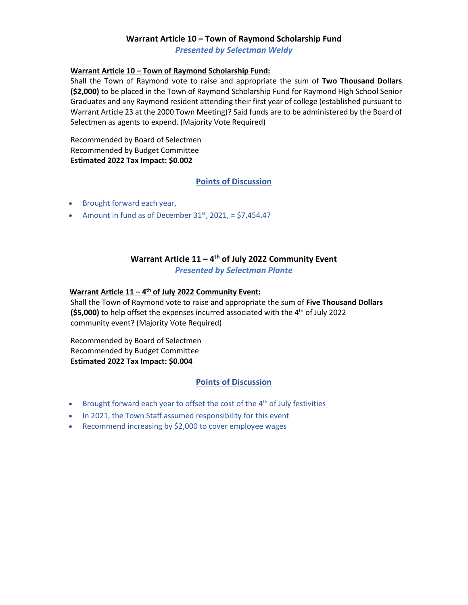## **Warrant Article 10 – Town of Raymond Scholarship Fund** *Presented by Selectman Weldy*

#### **Warrant Ar�cle 10 – Town of Raymond Scholarship Fund:**

Shall the Town of Raymond vote to raise and appropriate the sum of **Two Thousand Dollars (\$2,000)** to be placed in the Town of Raymond Scholarship Fund for Raymond High School Senior Graduates and any Raymond resident attending their first year of college (established pursuant to Warrant Article 23 at the 2000 Town Meeting)? Said funds are to be administered by the Board of Selectmen as agents to expend. (Majority Vote Required)

Recommended by Board of Selectmen Recommended by Budget Committee **Estimated 2022 Tax Impact: \$0.002**

## **Points of Discussion**

- Brought forward each year,
- Amount in fund as of December  $31<sup>st</sup>$ , 2021, = \$7,454.47

# **Warrant Article 11 – 4th of July 2022 Community Event** *Presented by Selectman Plante*

#### Warrant Article 11 – 4<sup>th</sup> of July 2022 Community Event:

Shall the Town of Raymond vote to raise and appropriate the sum of **Five Thousand Dollars (\$5,000)** to help offset the expenses incurred associated with the 4<sup>th</sup> of July 2022 community event? (Majority Vote Required)

Recommended by Board of Selectmen Recommended by Budget Committee **Estimated 2022 Tax Impact: \$0.004**

- Brought forward each year to offset the cost of the  $4<sup>th</sup>$  of July festivities
- In 2021, the Town Staff assumed responsibility for this event
- Recommend increasing by \$2,000 to cover employee wages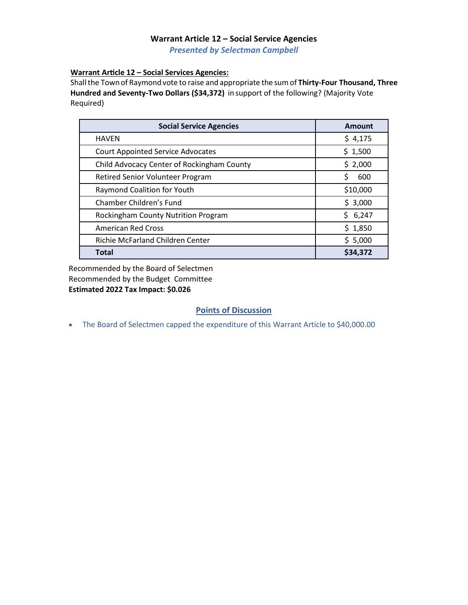## **Warrant Article 12 – Social Service Agencies**  *Presented by Selectman Campbell*

**Warrant Ar�cle 12 – Social Services Agencies:**

Shall the Town of Raymond vote to raise and appropriate the sum of Thirty-Four Thousand, Three **Hundred and Seventy-Two Dollars (\$34,372)** in support of the following? (Majority Vote Required)

| <b>Social Service Agencies</b>             | Amount      |
|--------------------------------------------|-------------|
| <b>HAVEN</b>                               | \$4,175     |
| <b>Court Appointed Service Advocates</b>   | \$1,500     |
| Child Advocacy Center of Rockingham County | \$2,000     |
| Retired Senior Volunteer Program           | \$<br>600   |
| Raymond Coalition for Youth                | \$10,000    |
| Chamber Children's Fund                    | \$3,000     |
| Rockingham County Nutrition Program        | Ś.<br>6,247 |
| <b>American Red Cross</b>                  | \$1,850     |
| Richie McFarland Children Center           | \$5,000     |
| <b>Total</b>                               | \$34,372    |

Recommended by the Board of Selectmen Recommended by the Budget Committee **Estimated 2022 Tax Impact: \$0.026**

# **Points of Discussion**

• The Board of Selectmen capped the expenditure of this Warrant Article to \$40,000.00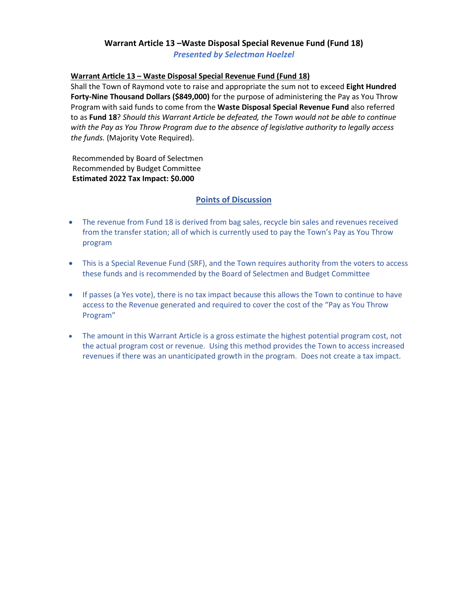# **Warrant Article 13 –Waste Disposal Special Revenue Fund (Fund 18)**

*Presented by Selectman Hoelzel*

## **Warrant Ar�cle 13 – Waste Disposal Special Revenue Fund (Fund 18)**

Shall the Town of Raymond vote to raise and appropriate the sum not to exceed **Eight Hundred Forty-Nine Thousand Dollars (\$849,000)** for the purpose of administering the Pay as You Throw Program with said funds to come from the **Waste Disposal Special Revenue Fund** also referred to as **Fund 18**? *Should this Warrant Article be defeated, the Town would not be able to continue with the Pay as You Throw Program due to the absence of legislative authority to legally access the funds.* (Majority Vote Required).

Recommended by Board of Selectmen Recommended by Budget Committee **Estimated 2022 Tax Impact: \$0.000**

- The revenue from Fund 18 is derived from bag sales, recycle bin sales and revenues received from the transfer station; all of which is currently used to pay the Town's Pay as You Throw program
- This is a Special Revenue Fund (SRF), and the Town requires authority from the voters to access these funds and is recommended by the Board of Selectmen and Budget Committee
- If passes (a Yes vote), there is no tax impact because this allows the Town to continue to have access to the Revenue generated and required to cover the cost of the "Pay as You Throw Program"
- The amount in this Warrant Article is a gross estimate the highest potential program cost, not the actual program cost or revenue. Using this method provides the Town to access increased revenues if there was an unanticipated growth in the program. Does not create a tax impact.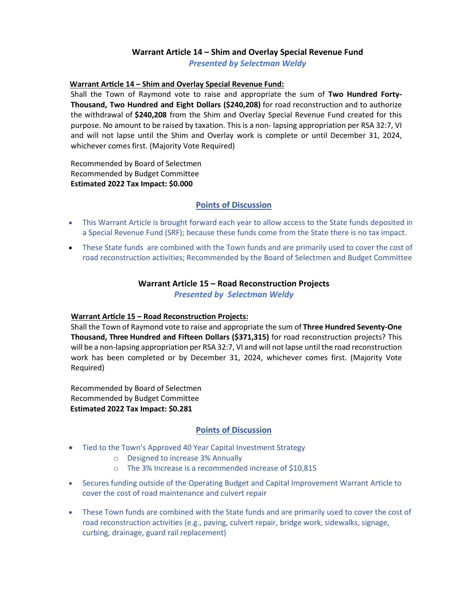# **Warrant Article 14 – Shim and Overlay Special Revenue Fund**

*Presented by Selectman Weldy*

#### **Warrant Ar�cle 14 – Shim and Overlay Special Revenue Fund:**

Shall the Town of Raymond vote to raise and appropriate the sum of **Two Hundred Forty-Thousand, Two Hundred and Eight Dollars (\$240,208)** for road reconstruction and to authorize the withdrawal of **\$240,208** from the Shim and Overlay Special Revenue Fund created for this purpose. No amount to be raised by taxation. This is a non- lapsing appropriation per RSA 32:7, VI and will not lapse until the Shim and Overlay work is complete or until December 31, 2024, whichever comes first. (Majority Vote Required)

Recommended by Board of Selectmen Recommended by Budget Committee **Estimated 2022 Tax Impact: \$0.000**

## **Points of Discussion**

- This Warrant Article is brought forward each year to allow access to the State funds deposited in a Special Revenue Fund (SRF); because these funds come from the State there is no tax impact.
- These State funds are combined with the Town funds and are primarily used to cover the cost of road reconstruction activities; Recommended by the Board of Selectmen and Budget Committee

# **Warrant Article 15 – Road Reconstruction Projects**

*Presented by Selectman Weldy*

# **Warrant Article 15 – Road Reconstruction Projects:**

Shall the Town of Raymond vote to raise and appropriate the sum of **Three Hundred Seventy-One Thousand, Three Hundred and Fifteen Dollars (\$371,315)** for road reconstruction projects? This will be a non-lapsing appropriation per RSA 32:7, VI and will not lapse until the road reconstruction work has been completed or by December 31, 2024, whichever comes first. (Majority Vote Required)

Recommended by Board of Selectmen Recommended by Budget Committee  **Estimated 2022 Tax Impact: \$0.281**

- Tied to the Town's Approved 40 Year Capital Investment Strategy
	- o Designed to increase 3% Annually
	- o The 3% Increase is a recommended increase of \$10,815
- Secures funding outside of the Operating Budget and Capital Improvement Warrant Article to cover the cost of road maintenance and culvert repair
- These Town funds are combined with the State funds and are primarily used to cover the cost of road reconstruction activities (e.g., paving, culvert repair, bridge work, sidewalks, signage, curbing, drainage, guard rail replacement)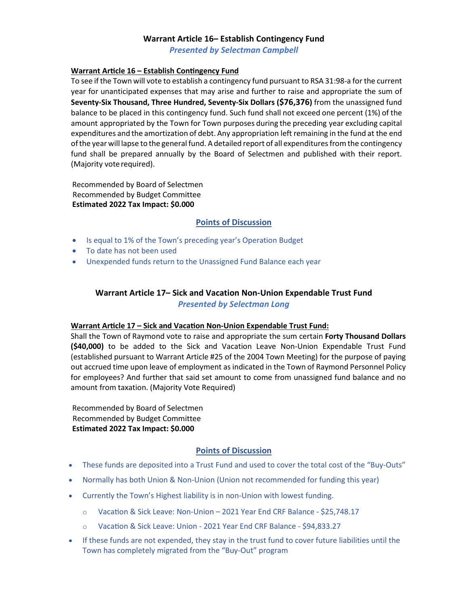## **Warrant Article 16– Establish Contingency Fund**

*Presented by Selectman Campbell*

#### **Warrant Article 16 – Establish Contingency Fund**

To see if the Town will vote to establish a contingency fund pursuant to RSA 31:98-a for the current year for unanticipated expenses that may arise and further to raise and appropriate the sum of **Seventy-Six Thousand, Three Hundred, Seventy-Six Dollars (\$76,376)** from the unassigned fund balance to be placed in this contingency fund. Such fund shall not exceed one percent (1%) of the amount appropriated by the Town for Town purposes during the preceding year excluding capital expenditures and the amortization of debt. Any appropriation left remaining in the fund at the end of the year will lapse to the general fund. A detailed report of all expenditures from the contingency fund shall be prepared annually by the Board of Selectmen and published with their report. (Majority vote required).

Recommended by Board of Selectmen Recommended by Budget Committee **Estimated 2022 Tax Impact: \$0.000**

#### **Points of Discussion**

- Is equal to 1% of the Town's preceding year's Operation Budget
- To date has not been used
- Unexpended funds return to the Unassigned Fund Balance each year

# **Warrant Article 17– Sick and Vacation Non-Union Expendable Trust Fund** *Presented by Selectman Long*

#### **Warrant Article 17 – Sick and Vacation Non-Union Expendable Trust Fund:**

Shall the Town of Raymond vote to raise and appropriate the sum certain **Forty Thousand Dollars (\$40,000)** to be added to the Sick and Vacation Leave Non-Union Expendable Trust Fund (established pursuant to Warrant Article #25 of the 2004 Town Meeting) for the purpose of paying out accrued time upon leave of employment as indicated in the Town of Raymond Personnel Policy for employees? And further that said set amount to come from unassigned fund balance and no amount from taxation. (Majority Vote Required)

Recommended by Board of Selectmen Recommended by Budget Committee **Estimated 2022 Tax Impact: \$0.000**

- These funds are deposited into a Trust Fund and used to cover the total cost of the "Buy-Outs"
- Normally has both Union & Non-Union (Union not recommended for funding this year)
- Currently the Town's Highest liability is in non-Union with lowest funding.
	- $\circ$  Vacation & Sick Leave: Non-Union 2021 Year End CRF Balance \$25,748.17
	- o Vacation & Sick Leave: Union 2021 Year End CRF Balance \$94,833.27
- If these funds are not expended, they stay in the trust fund to cover future liabilities until the Town has completely migrated from the "Buy-Out" program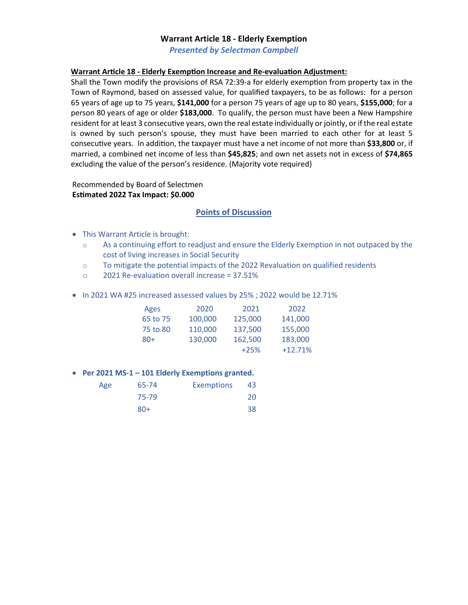#### **Warrant Article 18 - Elderly Exemption**

*Presented by Selectman Campbell*

#### **Warrant Article 18 - Elderly Exemption Increase and Re-evaluation Adjustment:**

Shall the Town modify the provisions of RSA 72:39-a for elderly exemption from property tax in the Town of Raymond, based on assessed value, for qualified taxpayers, to be as follows: for a person 65 years of age up to 75 years, **\$141,000** for a person 75 years of age up to 80 years, **\$155,000**; for a person 80 years of age or older **\$183,000**. To qualify, the person must have been a New Hampshire resident for at least 3 consecutive years, own the real estate individually or jointly, or if the real estate is owned by such person's spouse, they must have been married to each other for at least 5 consecutive years. In addition, the taxpayer must have a net income of not more than \$33,800 or, if married, a combined net income of less than **\$45,825**; and own net assets not in excess of **\$74,865** excluding the value of the person's residence. (Majority vote required)

Recommended by Board of Selectmen **Es�mated 2022 Tax Impact: \$0.000**

#### **Points of Discussion**

- This Warrant Article is brought:
	- o As a continuing effort to readjust and ensure the Elderly Exemption in not outpaced by the cost of living increases in Social Security
	- $\circ$  To mitigate the potential impacts of the 2022 Revaluation on qualified residents
	- o 2021 Re-evaluation overall increase = 37.51%
- In 2021 WA #25 increased assessed values by 25% ; 2022 would be 12.71%

| Ages     | 2020    | 2021    | 2022      |
|----------|---------|---------|-----------|
| 65 to 75 | 100,000 | 125,000 | 141,000   |
| 75 to 80 | 110,000 | 137,500 | 155,000   |
| $80+$    | 130,000 | 162,500 | 183,000   |
|          |         | $+25%$  | $+12.71%$ |

#### • **Per 2021 MS-1 – 101 Elderly Exemptions granted.**

| Age | 65-74 | <b>Exemptions</b> | 43 |
|-----|-------|-------------------|----|
|     | 75-79 |                   | 20 |
|     | $80+$ |                   | 38 |
|     |       |                   |    |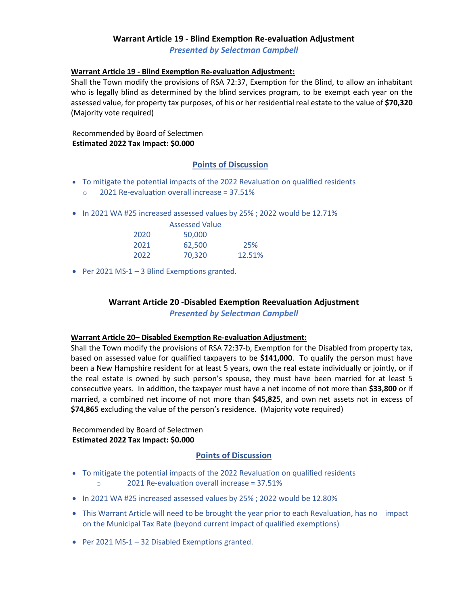# **Warrant Article 19 - Blind Exemption Re-evaluation Adjustment**

*Presented by Selectman Campbell*

#### **Warrant Article 19 - Blind Exemption Re-evaluation Adjustment:**

Shall the Town modify the provisions of RSA 72:37, Exemption for the Blind, to allow an inhabitant who is legally blind as determined by the blind services program, to be exempt each year on the assessed value, for property tax purposes, of his or her residen�al real estate to the value of **\$70,320** (Majority vote required)

Recommended by Board of Selectmen **Estimated 2022 Tax Impact: \$0.000**

#### **Points of Discussion**

- To mitigate the potential impacts of the 2022 Revaluation on qualified residents
	- $\degree$  2021 Re-evaluation overall increase = 37.51%
- In 2021 WA #25 increased assessed values by 25% ; 2022 would be 12.71%

|      | <b>Assessed Value</b> |        |
|------|-----------------------|--------|
| 2020 | 50,000                |        |
| 2021 | 62,500                | 25%    |
| 2022 | 70,320                | 12.51% |

• Per 2021 MS-1 – 3 Blind Exemptions granted.

# **Warrant Article 20 -Disabled Exemption Reevaluation Adjustment**

*Presented by Selectman Campbell*

#### **Warrant Article 20– Disabled Exemption Re-evaluation Adjustment:**

Shall the Town modify the provisions of RSA 72:37-b, Exemption for the Disabled from property tax, based on assessed value for qualified taxpayers to be **\$141,000**. To qualify the person must have been a New Hampshire resident for at least 5 years, own the real estate individually or jointly, or if the real estate is owned by such person's spouse, they must have been married for at least 5 consecutive years. In addition, the taxpayer must have a net income of not more than \$33,800 or if married, a combined net income of not more than **\$45,825**, and own net assets not in excess of **\$74,865** excluding the value of the person's residence. (Majority vote required)

Recommended by Board of Selectmen **Estimated 2022 Tax Impact: \$0.000**

- To mitigate the potential impacts of the 2022 Revaluation on qualified residents  $\circ$  2021 Re-evaluation overall increase = 37.51%
- In 2021 WA #25 increased assessed values by 25% ; 2022 would be 12.80%
- This Warrant Article will need to be brought the year prior to each Revaluation, has no impact on the Municipal Tax Rate (beyond current impact of qualified exemptions)
- Per 2021 MS-1 32 Disabled Exemptions granted.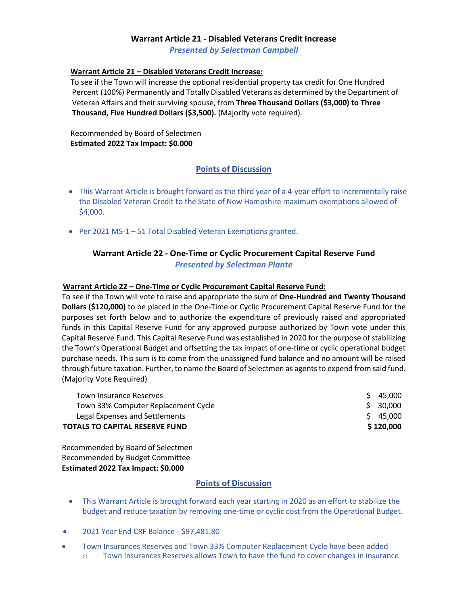# **Warrant Article 21 - Disabled Veterans Credit Increase**

*Presented by Selectman Campbell*

#### **Warrant Ar�cle 21 – Disabled Veterans Credit Increase:**

To see if the Town will increase the optional residential property tax credit for One Hundred Percent (100%) Permanently and Totally Disabled Veterans as determined by the Department of Veteran Affairs and their surviving spouse, from **Three Thousand Dollars (\$3,000) to Three Thousand, Five Hundred Dollars (\$3,500).** (Majority vote required).

Recommended by Board of Selectmen **Es�mated 2022 Tax Impact: \$0.000**

## **Points of Discussion**

- This Warrant Article is brought forward as the third year of a 4-year effort to incrementally raise the Disabled Veteran Credit to the State of New Hampshire maximum exemptions allowed of \$4,000.
- Per 2021 MS-1 51 Total Disabled Veteran Exemptions granted.

# **Warrant Article 22 - One-Time or Cyclic Procurement Capital Reserve Fund** *Presented by Selectman Plante*

#### **Warrant Article 22 – One-Time or Cyclic Procurement Capital Reserve Fund:**

To see if the Town will vote to raise and appropriate the sum of **One-Hundred and Twenty Thousand Dollars (\$120,000)** to be placed in the One-Time or Cyclic Procurement Capital Reserve Fund for the purposes set forth below and to authorize the expenditure of previously raised and appropriated funds in this Capital Reserve Fund for any approved purpose authorized by Town vote under this Capital Reserve Fund. This Capital Reserve Fund was established in 2020 for the purpose of stabilizing the Town's Operational Budget and offsetting the tax impact of one-time or cyclic operational budget purchase needs. This sum is to come from the unassigned fund balance and no amount will be raised through future taxation. Further, to name the Board of Selectmen as agents to expend from said fund. (Majority Vote Required)

| Legal Expenses and Settlements<br>TOTALS TO CAPITAL RESERVE FUND | \$45,000<br>\$120,000 |
|------------------------------------------------------------------|-----------------------|
| Town 33% Computer Replacement Cycle                              | \$ 30,000             |
| Town Insurance Reserves                                          | \$45,000              |

Recommended by Board of Selectmen Recommended by Budget Committee **Estimated 2022 Tax Impact: \$0.000**

- This Warrant Article is brought forward each year starting in 2020 as an effort to stabilize the budget and reduce taxation by removing one-time or cyclic cost from the Operational Budget.
- 2021 Year End CRF Balance \$97,481.80
- Town Insurances Reserves and Town 33% Computer Replacement Cycle have been added o Town Insurances Reserves allows Town to have the fund to cover changes in insurance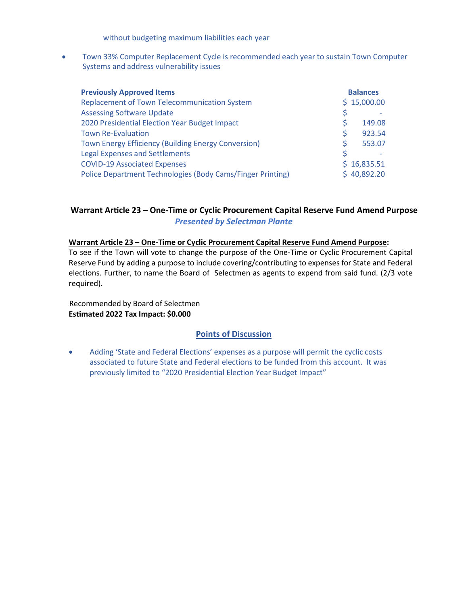without budgeting maximum liabilities each year

• Town 33% Computer Replacement Cycle is recommended each year to sustain Town Computer Systems and address vulnerability issues

| <b>Previously Approved Items</b>                           |    | <b>Balances</b> |
|------------------------------------------------------------|----|-----------------|
| <b>Replacement of Town Telecommunication System</b>        |    | \$15,000.00     |
| <b>Assessing Software Update</b>                           | \$ |                 |
| 2020 Presidential Election Year Budget Impact              | Ś  | 149.08          |
| <b>Town Re-Evaluation</b>                                  | Ś  | 923.54          |
| Town Energy Efficiency (Building Energy Conversion)        | Ś  | 553.07          |
| <b>Legal Expenses and Settlements</b>                      | Ś  |                 |
| <b>COVID-19 Associated Expenses</b>                        |    | \$16,835.51     |
| Police Department Technologies (Body Cams/Finger Printing) |    | 40,892.20       |

# **Warrant Ar�cle 23 – One-Time or Cyclic Procurement Capital Reserve Fund Amend Purpose** *Presented by Selectman Plante*

#### **Warrant Ar�cle 23 – One-Time or Cyclic Procurement Capital Reserve Fund Amend Purpose:**

To see if the Town will vote to change the purpose of the One-Time or Cyclic Procurement Capital Reserve Fund by adding a purpose to include covering/contributing to expenses for State and Federal elections. Further, to name the Board of Selectmen as agents to expend from said fund. (2/3 vote required).

 Recommended by Board of Selectmen **Es�mated 2022 Tax Impact: \$0.000** 

#### **Points of Discussion**

• Adding 'State and Federal Elections' expenses as a purpose will permit the cyclic costs associated to future State and Federal elections to be funded from this account. It was previously limited to "2020 Presidential Election Year Budget Impact"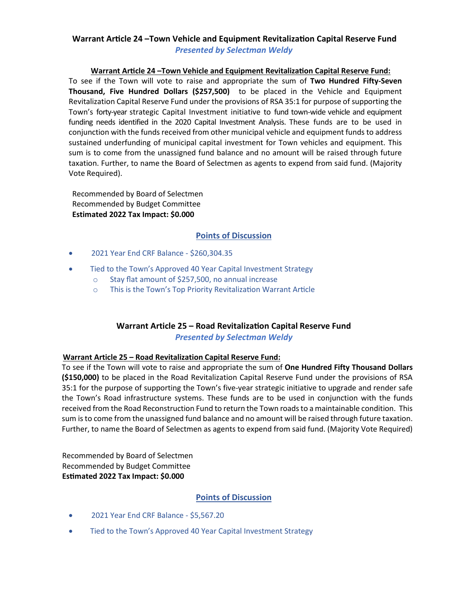# **Warrant Ar�cle 24 –Town Vehicle and Equipment Revitaliza�on Capital Reserve Fund** *Presented by Selectman Weldy*

**Warrant Ar�cle 24 –Town Vehicle and Equipment Revitaliza�on Capital Reserve Fund:** To see if the Town will vote to raise and appropriate the sum of **Two Hundred Fifty-Seven Thousand, Five Hundred Dollars (\$257,500)** to be placed in the Vehicle and Equipment Revitalization Capital Reserve Fund under the provisions of RSA 35:1 for purpose of supporting the Town's forty-year strategic Capital Investment initiative to fund town-wide vehicle and equipment funding needs identified in the 2020 Capital Investment Analysis. These funds are to be used in conjunction with the funds received from other municipal vehicle and equipment funds to address sustained underfunding of municipal capital investment for Town vehicles and equipment. This sum is to come from the unassigned fund balance and no amount will be raised through future taxation. Further, to name the Board of Selectmen as agents to expend from said fund. (Majority Vote Required).

Recommended by Board of Selectmen Recommended by Budget Committee **Estimated 2022 Tax Impact: \$0.000**

# **Points of Discussion**

- 2021 Year End CRF Balance \$260,304.35
- Tied to the Town's Approved 40 Year Capital Investment Strategy
	- o Stay flat amount of \$257,500, no annual increase
	- o This is the Town's Top Priority Revitalization Warrant Article

# **Warrant Article 25 – Road Revitaliza�on Capital Reserve Fund** *Presented by Selectman Weldy*

#### **Warrant Article 25 – Road Revitalization Capital Reserve Fund:**

To see if the Town will vote to raise and appropriate the sum of **One Hundred Fifty Thousand Dollars (\$150,000)** to be placed in the Road Revitalization Capital Reserve Fund under the provisions of RSA 35:1 for the purpose of supporting the Town's five-year strategic initiative to upgrade and render safe the Town's Road infrastructure systems. These funds are to be used in conjunction with the funds received from the Road Reconstruction Fund to return the Town roads to a maintainable condition. This sum is to come from the unassigned fund balance and no amount will be raised through future taxation. Further, to name the Board of Selectmen as agents to expend from said fund. (Majority Vote Required)

Recommended by Board of Selectmen Recommended by Budget Committee **Es�mated 2022 Tax Impact: \$0.000** 

- 2021 Year End CRF Balance \$5,567.20
- Tied to the Town's Approved 40 Year Capital Investment Strategy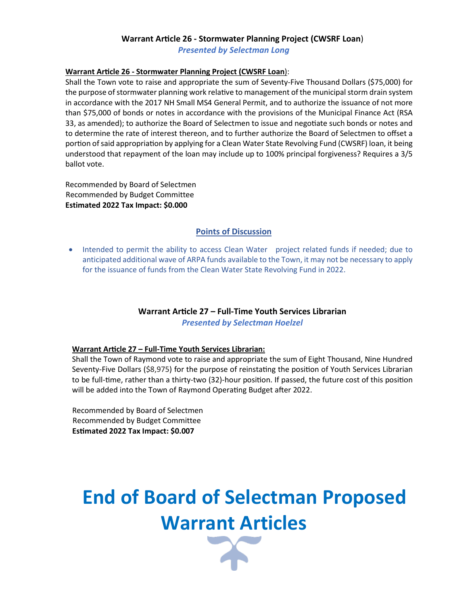# **Warrant Ar�cle 26 - Stormwater Planning Project (CWSRF Loan**)

*Presented by Selectman Long*

#### **Warrant Ar�cle 26 - Stormwater Planning Project (CWSRF Loan**):

Shall the Town vote to raise and appropriate the sum of Seventy-Five Thousand Dollars (\$75,000) for the purpose of stormwater planning work relative to management of the municipal storm drain system in accordance with the 2017 NH Small MS4 General Permit, and to authorize the issuance of not more than \$75,000 of bonds or notes in accordance with the provisions of the Municipal Finance Act (RSA 33, as amended); to authorize the Board of Selectmen to issue and negotiate such bonds or notes and to determine the rate of interest thereon, and to further authorize the Board of Selectmen to offset a portion of said appropriation by applying for a Clean Water State Revolving Fund (CWSRF) loan, it being understood that repayment of the loan may include up to 100% principal forgiveness? Requires a 3/5 ballot vote.

Recommended by Board of Selectmen Recommended by Budget Committee **Estimated 2022 Tax Impact: \$0.000**

# **Points of Discussion**

• Intended to permit the ability to access Clean Water project related funds if needed; due to anticipated additional wave of ARPA funds available to the Town, it may not be necessary to apply for the issuance of funds from the Clean Water State Revolving Fund in 2022.

## **Warrant Ar�cle 27 – Full-Time Youth Services Librarian** *Presented by Selectman Hoelzel*

#### **Warrant Ar�cle 27 – Full-Time Youth Services Librarian:**

Shall the Town of Raymond vote to raise and appropriate the sum of Eight Thousand, Nine Hundred Seventy-Five Dollars (\$8,975) for the purpose of reinstating the position of Youth Services Librarian to be full-time, rather than a thirty-two (32)-hour position. If passed, the future cost of this position will be added into the Town of Raymond Operating Budget after 2022.

Recommended by Board of Selectmen Recommended by Budget Committee **Es�mated 2022 Tax Impact: \$0.007**

# **End of Board of Selectman Proposed Warrant Articles**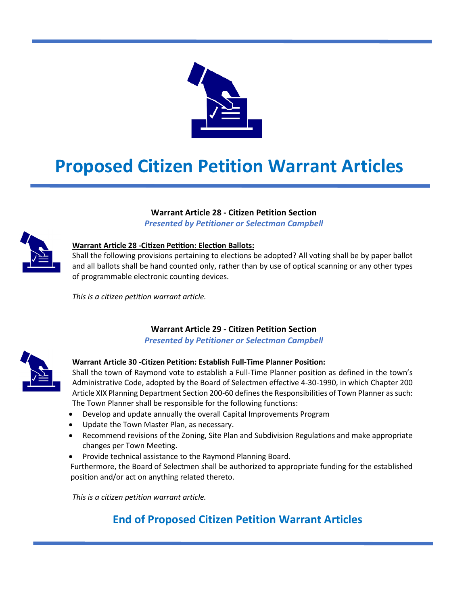

# **Proposed Citizen Petition Warrant Articles**

# **Warrant Article 28 - Citizen Petition Section**

*Presented by Petitioner or Selectman Campbell*



# **Warrant Article 28 -Citizen Petition: Election Ballots:**

Shall the following provisions pertaining to elections be adopted? All voting shall be by paper ballot and all ballots shall be hand counted only, rather than by use of optical scanning or any other types of programmable electronic counting devices.

*This is a citizen petition warrant article.*

# **Warrant Article 29 - Citizen Petition Section**

*Presented by Petitioner or Selectman Campbell*



# **Warrant Article 30 -Citizen Petition: Establish Full-Time Planner Position:**

Shall the town of Raymond vote to establish a Full-Time Planner position as defined in the town's Administrative Code, adopted by the Board of Selectmen effective 4-30-1990, in which Chapter 200 Article XIX Planning Department Section 200-60 defines the Responsibilities of Town Planner as such: The Town Planner shall be responsible for the following functions:

- Develop and update annually the overall Capital Improvements Program
- Update the Town Master Plan, as necessary.
- Recommend revisions of the Zoning, Site Plan and Subdivision Regulations and make appropriate changes per Town Meeting.
- Provide technical assistance to the Raymond Planning Board.

Furthermore, the Board of Selectmen shall be authorized to appropriate funding for the established position and/or act on anything related thereto.

*This is a citizen petition warrant article.*

# **End of Proposed Citizen Petition Warrant Articles**